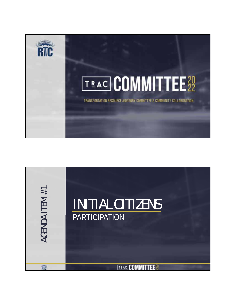

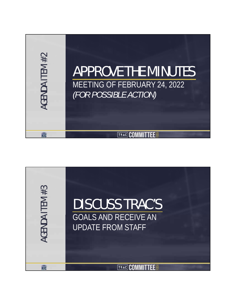

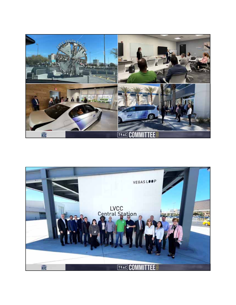

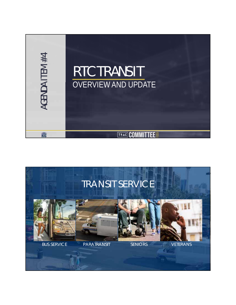

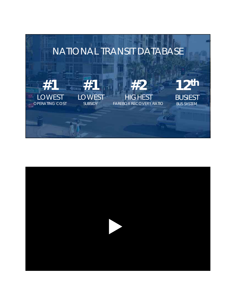

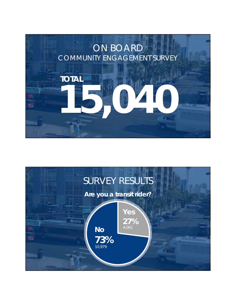

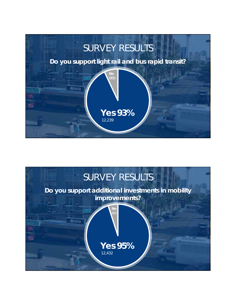

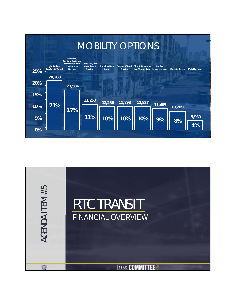

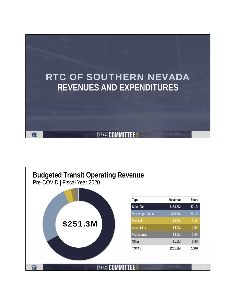

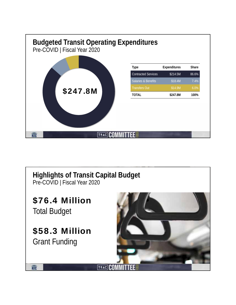

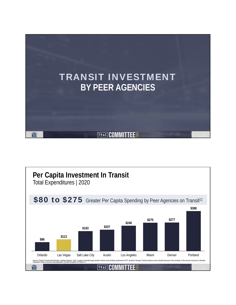

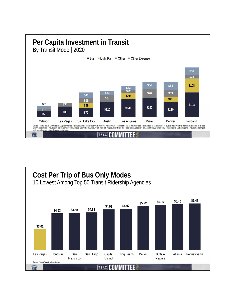

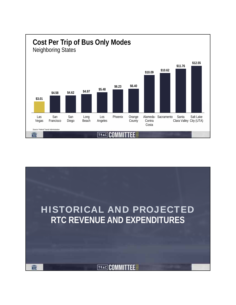

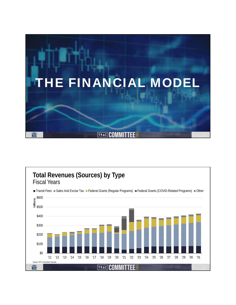

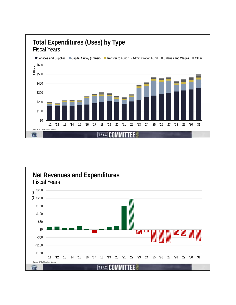

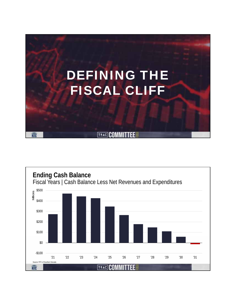

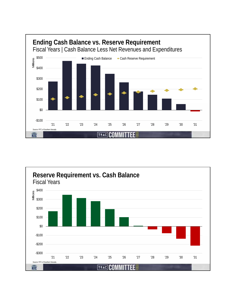

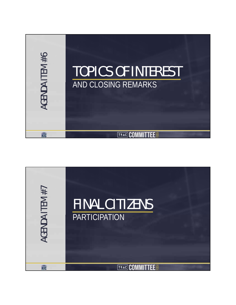